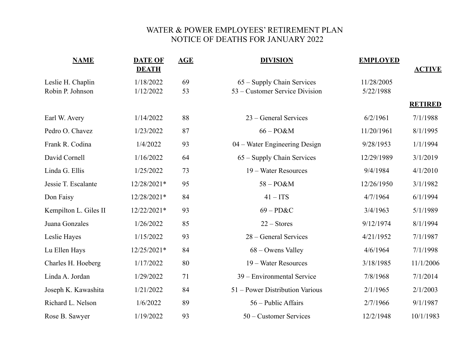## WATER & POWER EMPLOYEES' RETIREMENT PLAN NOTICE OF DEATHS FOR JANUARY 2022

| <b>NAME</b>                           | <b>DATE OF</b><br><b>DEATH</b> | <b>AGE</b> | <b>DIVISION</b>                                              | <b>EMPLOYED</b>         | <b>ACTIVE</b>  |
|---------------------------------------|--------------------------------|------------|--------------------------------------------------------------|-------------------------|----------------|
| Leslie H. Chaplin<br>Robin P. Johnson | 1/18/2022<br>1/12/2022         | 69<br>53   | 65 - Supply Chain Services<br>53 – Customer Service Division | 11/28/2005<br>5/22/1988 |                |
|                                       |                                |            |                                                              |                         | <b>RETIRED</b> |
| Earl W. Avery                         | 1/14/2022                      | 88         | 23 – General Services                                        | 6/2/1961                | 7/1/1988       |
| Pedro O. Chavez                       | 1/23/2022                      | 87         | $66 - PO&M$                                                  | 11/20/1961              | 8/1/1995       |
| Frank R. Codina                       | 1/4/2022                       | 93         | 04 – Water Engineering Design                                | 9/28/1953               | 1/1/1994       |
| David Cornell                         | 1/16/2022                      | 64         | 65 – Supply Chain Services                                   | 12/29/1989              | 3/1/2019       |
| Linda G. Ellis                        | 1/25/2022                      | 73         | 19 – Water Resources                                         | 9/4/1984                | 4/1/2010       |
| Jessie T. Escalante                   | 12/28/2021*                    | 95         | $58 - PO&M$                                                  | 12/26/1950              | 3/1/1982       |
| Don Faisy                             | 12/28/2021*                    | 84         | $41 - ITS$                                                   | 4/7/1964                | 6/1/1994       |
| Kempilton L. Giles II                 | 12/22/2021*                    | 93         | $69 - P D & C$                                               | 3/4/1963                | 5/1/1989       |
| Juana Gonzales                        | 1/26/2022                      | 85         | $22 - \text{Stores}$                                         | 9/12/1974               | 8/1/1994       |
| Leslie Hayes                          | 1/15/2022                      | 93         | 28 – General Services                                        | 4/21/1952               | 7/1/1987       |
| Lu Ellen Hays                         | 12/25/2021*                    | 84         | 68 – Owens Valley                                            | 4/6/1964                | 7/1/1998       |
| Charles H. Hoeberg                    | 1/17/2022                      | 80         | 19 – Water Resources                                         | 3/18/1985               | 11/1/2006      |
| Linda A. Jordan                       | 1/29/2022                      | 71         | 39 – Environmental Service                                   | 7/8/1968                | 7/1/2014       |
| Joseph K. Kawashita                   | 1/21/2022                      | 84         | 51 – Power Distribution Various                              | 2/1/1965                | 2/1/2003       |
| Richard L. Nelson                     | 1/6/2022                       | 89         | 56 – Public Affairs                                          | 2/7/1966                | 9/1/1987       |
| Rose B. Sawyer                        | 1/19/2022                      | 93         | 50 – Customer Services                                       | 12/2/1948               | 10/1/1983      |